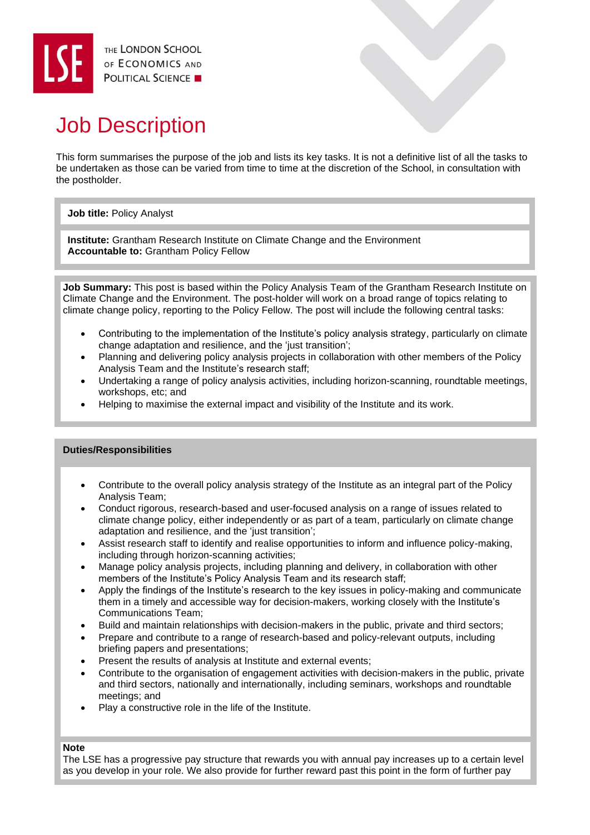# Job Description

This form summarises the purpose of the job and lists its key tasks. It is not a definitive list of all the tasks to be undertaken as those can be varied from time to time at the discretion of the School, in consultation with the postholder.

## **Job title:** Policy Analyst

**Institute:** Grantham Research Institute on Climate Change and the Environment **Accountable to:** Grantham Policy Fellow

**Job Summary:** This post is based within the Policy Analysis Team of the Grantham Research Institute on Climate Change and the Environment. The post-holder will work on a broad range of topics relating to climate change policy, reporting to the Policy Fellow. The post will include the following central tasks:

- Contributing to the implementation of the Institute's policy analysis strategy, particularly on climate change adaptation and resilience, and the 'just transition';
- Planning and delivering policy analysis projects in collaboration with other members of the Policy Analysis Team and the Institute's research staff;
- Undertaking a range of policy analysis activities, including horizon-scanning, roundtable meetings, workshops, etc; and
- Helping to maximise the external impact and visibility of the Institute and its work.

## **Duties/Responsibilities**

- Contribute to the overall policy analysis strategy of the Institute as an integral part of the Policy Analysis Team;
- Conduct rigorous, research-based and user-focused analysis on a range of issues related to climate change policy, either independently or as part of a team, particularly on climate change adaptation and resilience, and the 'iust transition':
- Assist research staff to identify and realise opportunities to inform and influence policy-making, including through horizon-scanning activities;
- Manage policy analysis projects, including planning and delivery, in collaboration with other members of the Institute's Policy Analysis Team and its research staff;
- Apply the findings of the Institute's research to the key issues in policy-making and communicate them in a timely and accessible way for decision-makers, working closely with the Institute's Communications Team;
- Build and maintain relationships with decision-makers in the public, private and third sectors;
- Prepare and contribute to a range of research-based and policy-relevant outputs, including briefing papers and presentations;
- Present the results of analysis at Institute and external events;
- Contribute to the organisation of engagement activities with decision-makers in the public, private and third sectors, nationally and internationally, including seminars, workshops and roundtable meetings; and
- Play a constructive role in the life of the Institute.

#### **Note**

The LSE has a progressive pay structure that rewards you with annual pay increases up to a certain level as you develop in your role. We also provide for further reward past this point in the form of further pay